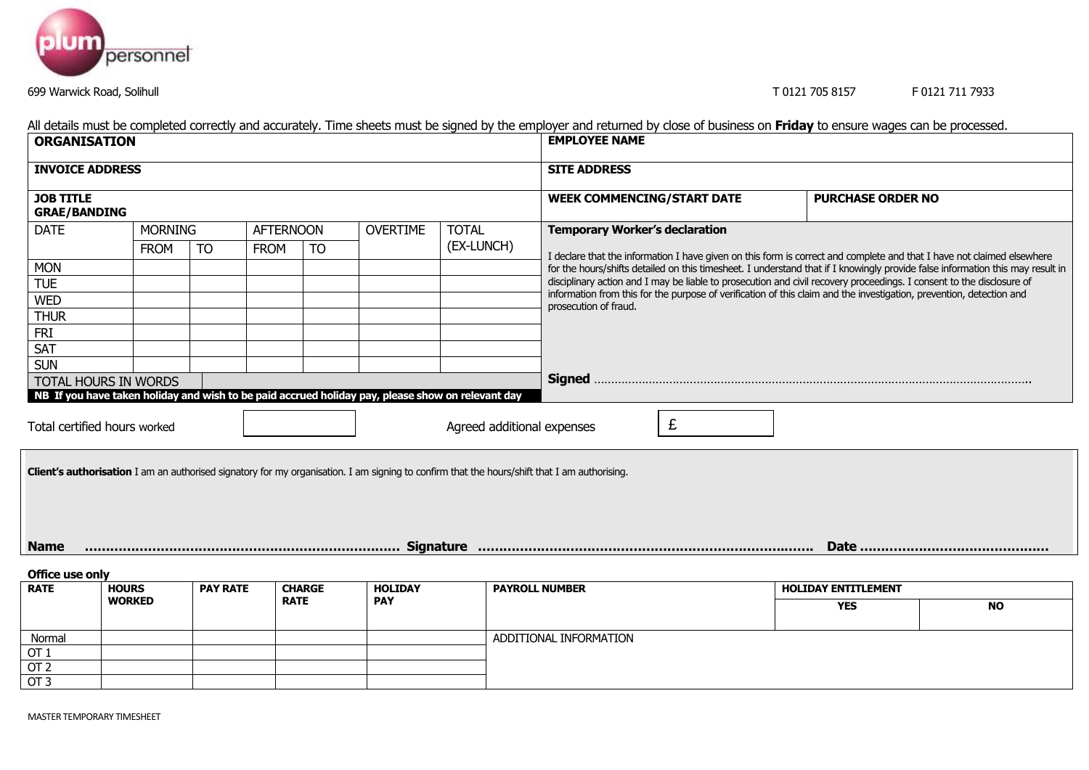

## 699 Warwick Road, Solihull T 0121 705 8157 F 0121 711 7933

| <b>ORGANISATION</b>                                                                                                                                 |                |                 |                                 |                 |              | <b>EMPLOYEE NAME</b>                                                                                                                                                                                                                                                   |                            |           |  |  |  |  |  |  |
|-----------------------------------------------------------------------------------------------------------------------------------------------------|----------------|-----------------|---------------------------------|-----------------|--------------|------------------------------------------------------------------------------------------------------------------------------------------------------------------------------------------------------------------------------------------------------------------------|----------------------------|-----------|--|--|--|--|--|--|
| <b>INVOICE ADDRESS</b>                                                                                                                              |                |                 |                                 |                 |              | <b>SITE ADDRESS</b>                                                                                                                                                                                                                                                    |                            |           |  |  |  |  |  |  |
| <b>JOB TITLE</b><br><b>GRAE/BANDING</b>                                                                                                             |                |                 |                                 |                 |              | <b>WEEK COMMENCING/START DATE</b>                                                                                                                                                                                                                                      | <b>PURCHASE ORDER NO</b>   |           |  |  |  |  |  |  |
| <b>DATE</b>                                                                                                                                         | <b>MORNING</b> |                 | <b>AFTERNOON</b>                | <b>OVERTIME</b> | <b>TOTAL</b> | <b>Temporary Worker's declaration</b>                                                                                                                                                                                                                                  |                            |           |  |  |  |  |  |  |
|                                                                                                                                                     | <b>FROM</b>    | <b>TO</b>       | <b>TO</b><br><b>FROM</b>        |                 | (EX-LUNCH)   | I declare that the information I have given on this form is correct and complete and that I have not claimed elsewhere                                                                                                                                                 |                            |           |  |  |  |  |  |  |
| <b>MON</b>                                                                                                                                          |                |                 |                                 |                 |              | for the hours/shifts detailed on this timesheet. I understand that if I knowingly provide false information this may result in                                                                                                                                         |                            |           |  |  |  |  |  |  |
| <b>TUE</b>                                                                                                                                          |                |                 |                                 |                 |              | disciplinary action and I may be liable to prosecution and civil recovery proceedings. I consent to the disclosure of<br>information from this for the purpose of verification of this claim and the investigation, prevention, detection and<br>prosecution of fraud. |                            |           |  |  |  |  |  |  |
| <b>WED</b>                                                                                                                                          |                |                 |                                 |                 |              |                                                                                                                                                                                                                                                                        |                            |           |  |  |  |  |  |  |
| <b>THUR</b>                                                                                                                                         |                |                 |                                 |                 |              |                                                                                                                                                                                                                                                                        |                            |           |  |  |  |  |  |  |
| <b>FRI</b>                                                                                                                                          |                |                 |                                 |                 |              |                                                                                                                                                                                                                                                                        |                            |           |  |  |  |  |  |  |
| <b>SAT</b>                                                                                                                                          |                |                 |                                 |                 |              |                                                                                                                                                                                                                                                                        |                            |           |  |  |  |  |  |  |
| <b>SUN</b>                                                                                                                                          |                |                 |                                 |                 |              |                                                                                                                                                                                                                                                                        |                            |           |  |  |  |  |  |  |
| TOTAL HOURS IN WORDS<br>NB If you have taken holiday and wish to be paid accrued holiday pay, please show on relevant day                           |                |                 |                                 |                 |              |                                                                                                                                                                                                                                                                        |                            |           |  |  |  |  |  |  |
|                                                                                                                                                     |                |                 |                                 |                 |              |                                                                                                                                                                                                                                                                        |                            |           |  |  |  |  |  |  |
| Total certified hours worked                                                                                                                        |                |                 | £<br>Agreed additional expenses |                 |              |                                                                                                                                                                                                                                                                        |                            |           |  |  |  |  |  |  |
| <b>Client's authorisation</b> I am an authorised signatory for my organisation. I am signing to confirm that the hours/shift that I am authorising. |                |                 |                                 |                 |              |                                                                                                                                                                                                                                                                        |                            |           |  |  |  |  |  |  |
|                                                                                                                                                     |                |                 |                                 |                 |              |                                                                                                                                                                                                                                                                        |                            |           |  |  |  |  |  |  |
| <b>Name</b>                                                                                                                                         |                |                 |                                 |                 |              |                                                                                                                                                                                                                                                                        |                            |           |  |  |  |  |  |  |
| Office use only                                                                                                                                     |                |                 |                                 |                 |              |                                                                                                                                                                                                                                                                        |                            |           |  |  |  |  |  |  |
| <b>RATE</b>                                                                                                                                         | <b>HOURS</b>   | <b>PAY RATE</b> | <b>CHARGE</b>                   | <b>HOLIDAY</b>  |              | <b>PAYROLL NUMBER</b>                                                                                                                                                                                                                                                  | <b>HOLIDAY ENTITLEMENT</b> |           |  |  |  |  |  |  |
|                                                                                                                                                     | <b>WORKED</b>  |                 | <b>RATE</b>                     | <b>PAY</b>      |              |                                                                                                                                                                                                                                                                        | <b>YES</b>                 | <b>NO</b> |  |  |  |  |  |  |

All details must be completed correctly and accurately. Time sheets must be signed by the employer and returned by close of business on **Friday** to ensure wages can be processed.

OT 1 OT 2  $\frac{1}{\text{OT }3}$ 

Normal ADDITIONAL INFORMATION